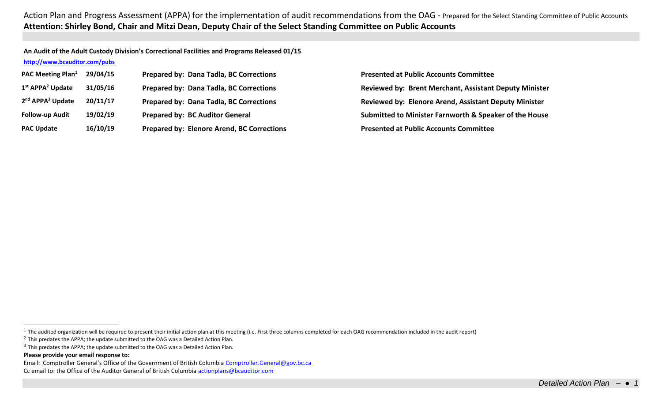**An Audit of the Adult Custody Division's Correctional Facilities and Programs Released 01/15 <http://www.bcauditor.com/pubs>**

| <b>PAC Meeting Plan</b> <sup>1</sup>     | 29/04/15 | Prepared by: Dana Tadla, BC Corrections    | <b>Presented at Public Accounts Committee</b>                 |
|------------------------------------------|----------|--------------------------------------------|---------------------------------------------------------------|
| $1st$ APPA <sup>2</sup> Update           | 31/05/16 | Prepared by: Dana Tadla, BC Corrections    | <b>Reviewed by: Brent Merchant, Assistant Deputy Minister</b> |
| 2 <sup>nd</sup> APPA <sup>3</sup> Update | 20/11/17 | Prepared by: Dana Tadla, BC Corrections    | <b>Reviewed by: Elenore Arend, Assistant Deputy Minister</b>  |
| <b>Follow-up Audit</b>                   | 19/02/19 | <b>Prepared by: BC Auditor General</b>     | Submitted to Minister Farnworth & Speaker of the House        |
| <b>PAC Update</b>                        | 16/10/19 | Prepared by: Elenore Arend, BC Corrections | <b>Presented at Public Accounts Committee</b>                 |

 $\overline{a}$ 

<sup>&</sup>lt;sup>1</sup> The audited organization will be required to present their initial action plan at this meeting (i.e. First three columns completed for each OAG recommendation included in the audit report)

<sup>2</sup> This predates the APPA; the update submitted to the OAG was a Detailed Action Plan.

 $3$  This predates the APPA; the update submitted to the OAG was a Detailed Action Plan.

**Please provide your email response to:**

Email: Comptroller General's Office of the Government of British Columbia [Comptroller.General@gov.bc.ca](mailto:Comptroller.General@gov.bc.ca)

Cc email to: the Office of the Auditor General of British Columbi[a actionplans@bcauditor.com](mailto:actionplans@bcauditor.com)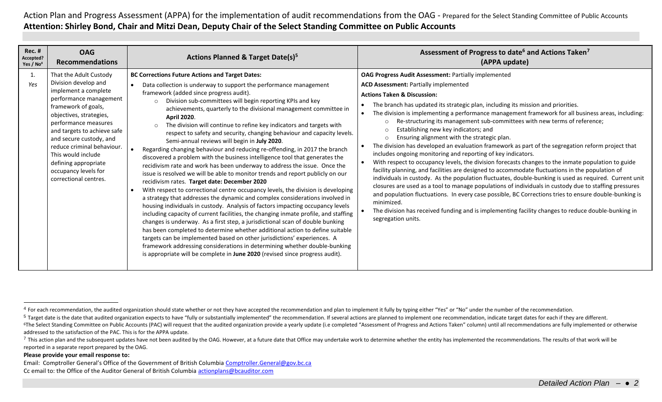| <b>Rec. #</b><br>Accepted?<br>Yes / No <sup>4</sup> | <b>OAG</b><br><b>Recommendations</b>                                                                                                                                                                                                                                                                                                                              | <b>Actions Planned &amp; Target Date(s)</b> <sup>5</sup>                                                                                                                                                                                                                                                                                                                                                                                                                                                                                                                                                                                                                                                                                                                                                                                                                                                                                                                                                                                                                                                                                                                                                                                                                                                                                                                                                                                                                                                                                                                                                                                                                                   | Assessment of Progress to date <sup>6</sup> and Actions Taken <sup>7</sup><br>(APPA update)                                                                                                                                                                                                                                                                                                                                                                                                                                                                                                                                                                                                                                                                                                                                                                                                                                                                                                                                                                                                                                                                                                                                                                                                                                                                                                    |
|-----------------------------------------------------|-------------------------------------------------------------------------------------------------------------------------------------------------------------------------------------------------------------------------------------------------------------------------------------------------------------------------------------------------------------------|--------------------------------------------------------------------------------------------------------------------------------------------------------------------------------------------------------------------------------------------------------------------------------------------------------------------------------------------------------------------------------------------------------------------------------------------------------------------------------------------------------------------------------------------------------------------------------------------------------------------------------------------------------------------------------------------------------------------------------------------------------------------------------------------------------------------------------------------------------------------------------------------------------------------------------------------------------------------------------------------------------------------------------------------------------------------------------------------------------------------------------------------------------------------------------------------------------------------------------------------------------------------------------------------------------------------------------------------------------------------------------------------------------------------------------------------------------------------------------------------------------------------------------------------------------------------------------------------------------------------------------------------------------------------------------------------|------------------------------------------------------------------------------------------------------------------------------------------------------------------------------------------------------------------------------------------------------------------------------------------------------------------------------------------------------------------------------------------------------------------------------------------------------------------------------------------------------------------------------------------------------------------------------------------------------------------------------------------------------------------------------------------------------------------------------------------------------------------------------------------------------------------------------------------------------------------------------------------------------------------------------------------------------------------------------------------------------------------------------------------------------------------------------------------------------------------------------------------------------------------------------------------------------------------------------------------------------------------------------------------------------------------------------------------------------------------------------------------------|
| 1.<br>Yes                                           | That the Adult Custody<br>Division develop and<br>implement a complete<br>performance management<br>framework of goals,<br>objectives, strategies,<br>performance measures<br>and targets to achieve safe<br>and secure custody, and<br>reduce criminal behaviour.<br>This would include<br>defining appropriate<br>occupancy levels for<br>correctional centres. | <b>BC Corrections Future Actions and Target Dates:</b><br>Data collection is underway to support the performance management<br>framework (added since progress audit).<br>Division sub-committees will begin reporting KPIs and key<br>$\Omega$<br>achievements, quarterly to the divisional management committee in<br><b>April 2020.</b><br>The division will continue to refine key indicators and targets with<br>$\circ$<br>respect to safety and security, changing behaviour and capacity levels.<br>Semi-annual reviews will begin in July 2020.<br>Regarding changing behaviour and reducing re-offending, in 2017 the branch<br>discovered a problem with the business intelligence tool that generates the<br>recidivism rate and work has been underway to address the issue. Once the<br>issue is resolved we will be able to monitor trends and report publicly on our<br>recidivism rates. Target date: December 2020<br>With respect to correctional centre occupancy levels, the division is developing<br>a strategy that addresses the dynamic and complex considerations involved in<br>housing individuals in custody. Analysis of factors impacting occupancy levels<br>including capacity of current facilities, the changing inmate profile, and staffing<br>changes is underway. As a first step, a jurisdictional scan of double bunking<br>has been completed to determine whether additional action to define suitable<br>targets can be implemented based on other jurisdictions' experiences. A<br>framework addressing considerations in determining whether double-bunking<br>is appropriate will be complete in June 2020 (revised since progress audit). | <b>OAG Progress Audit Assessment: Partially implemented</b><br><b>ACD Assessment: Partially implemented</b><br><b>Actions Taken &amp; Discussion:</b><br>The branch has updated its strategic plan, including its mission and priorities.<br>The division is implementing a performance management framework for all business areas, including:<br>Re-structuring its management sub-committees with new terms of reference;<br>$\circ$<br>Establishing new key indicators; and<br>$\Omega$<br>Ensuring alignment with the strategic plan.<br>The division has developed an evaluation framework as part of the segregation reform project that<br>includes ongoing monitoring and reporting of key indicators.<br>With respect to occupancy levels, the division forecasts changes to the inmate population to guide<br>facility planning, and facilities are designed to accommodate fluctuations in the population of<br>individuals in custody. As the population fluctuates, double-bunking is used as required. Current unit<br>closures are used as a tool to manage populations of individuals in custody due to staffing pressures<br>and population fluctuations. In every case possible, BC Corrections tries to ensure double-bunking is<br>minimized.<br>The division has received funding and is implementing facility changes to reduce double-bunking in<br>segregation units. |

## **Please provide your email response to:**

 $\overline{a}$ 

Email: Comptroller General's Office of the Government of British Columbia [Comptroller.General@gov.bc.ca](mailto:Comptroller.General@gov.bc.ca) Cc email to: the Office of the Auditor General of British Columbi[a actionplans@bcauditor.com](mailto:actionplans@bcauditor.com)

<sup>&</sup>lt;sup>4</sup> For each recommendation, the audited organization should state whether or not they have accepted the recommendation and plan to implement it fully by typing either "Yes" or "No" under the number of the recommendation.

<sup>&</sup>lt;sup>5</sup> Target date is the date that audited organization expects to have "fully or substantially implemented" the recommendation. If several actions are planned to implement one recommendation, indicate target dates for each <sup>6</sup>The Select Standing Committee on Public Accounts (PAC) will request that the audited organization provide a yearly update (i.e completed "Assessment of Progress and Actions Taken" column) until all recommendations are f addressed to the satisfaction of the PAC. This is for the APPA update.

<sup>7</sup> This action plan and the subsequent updates have not been audited by the OAG. However, at a future date that Office may undertake work to determine whether the entity has implemented the recommendations. The results of t reported in a separate report prepared by the OAG.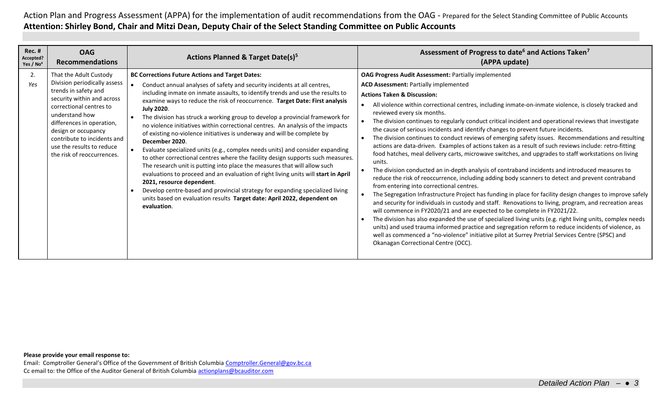| <b>Rec. #</b><br>Accepted?<br>Yes / No <sup>4</sup> | <b>OAG</b><br><b>Recommendations</b>                                                                                                                                                                                                                                                                    | <b>Actions Planned &amp; Target Date(s)</b> <sup>5</sup>                                                                                                                                                                                                                                                                                                                                                                                                                                                                                                                                                                                                                                                                                                                                                                                                                                                                                                                                                                                                                                                                                  | Assessment of Progress to date <sup>6</sup> and Actions Taken <sup>7</sup><br>(APPA update)                                                                                                                                                                                                                                                                                                                                                                                                                                                                                                                                                                                                                                                                                                                                                                                                                                                                                                                                                                                                                                                                                                                                                                                                                                                                                                                                                                                                                                                                                                                                                                                                                                                      |
|-----------------------------------------------------|---------------------------------------------------------------------------------------------------------------------------------------------------------------------------------------------------------------------------------------------------------------------------------------------------------|-------------------------------------------------------------------------------------------------------------------------------------------------------------------------------------------------------------------------------------------------------------------------------------------------------------------------------------------------------------------------------------------------------------------------------------------------------------------------------------------------------------------------------------------------------------------------------------------------------------------------------------------------------------------------------------------------------------------------------------------------------------------------------------------------------------------------------------------------------------------------------------------------------------------------------------------------------------------------------------------------------------------------------------------------------------------------------------------------------------------------------------------|--------------------------------------------------------------------------------------------------------------------------------------------------------------------------------------------------------------------------------------------------------------------------------------------------------------------------------------------------------------------------------------------------------------------------------------------------------------------------------------------------------------------------------------------------------------------------------------------------------------------------------------------------------------------------------------------------------------------------------------------------------------------------------------------------------------------------------------------------------------------------------------------------------------------------------------------------------------------------------------------------------------------------------------------------------------------------------------------------------------------------------------------------------------------------------------------------------------------------------------------------------------------------------------------------------------------------------------------------------------------------------------------------------------------------------------------------------------------------------------------------------------------------------------------------------------------------------------------------------------------------------------------------------------------------------------------------------------------------------------------------|
| 2.<br>Yes                                           | That the Adult Custody<br>Division periodically assess<br>trends in safety and<br>security within and across<br>correctional centres to<br>understand how<br>differences in operation,<br>design or occupancy<br>contribute to incidents and<br>use the results to reduce<br>the risk of reoccurrences. | <b>BC Corrections Future Actions and Target Dates:</b><br>Conduct annual analyses of safety and security incidents at all centres,<br>including inmate on inmate assaults, to identify trends and use the results to<br>examine ways to reduce the risk of reoccurrence. Target Date: First analysis<br><b>July 2020.</b><br>The division has struck a working group to develop a provincial framework for<br>no violence initiatives within correctional centres. An analysis of the impacts<br>of existing no-violence initiatives is underway and will be complete by<br>December 2020.<br>Evaluate specialized units (e.g., complex needs units) and consider expanding<br>to other correctional centres where the facility design supports such measures.<br>The research unit is putting into place the measures that will allow such<br>evaluations to proceed and an evaluation of right living units will start in April<br>2021, resource dependent.<br>Develop centre-based and provincial strategy for expanding specialized living<br>units based on evaluation results Target date: April 2022, dependent on<br>evaluation. | <b>OAG Progress Audit Assessment: Partially implemented</b><br><b>ACD Assessment: Partially implemented</b><br><b>Actions Taken &amp; Discussion:</b><br>All violence within correctional centres, including inmate-on-inmate violence, is closely tracked and<br>reviewed every six months.<br>The division continues to regularly conduct critical incident and operational reviews that investigate<br>the cause of serious incidents and identify changes to prevent future incidents.<br>The division continues to conduct reviews of emerging safety issues. Recommendations and resulting<br>actions are data-driven. Examples of actions taken as a result of such reviews include: retro-fitting<br>food hatches, meal delivery carts, microwave switches, and upgrades to staff workstations on living<br>units.<br>The division conducted an in-depth analysis of contraband incidents and introduced measures to<br>reduce the risk of reoccurrence, including adding body scanners to detect and prevent contraband<br>from entering into correctional centres.<br>The Segregation Infrastructure Project has funding in place for facility design changes to improve safely<br>and security for individuals in custody and staff. Renovations to living, program, and recreation areas<br>will commence in FY2020/21 and are expected to be complete in FY2021/22.<br>The division has also expanded the use of specialized living units (e.g. right living units, complex needs<br>units) and used trauma informed practice and segregation reform to reduce incidents of violence, as<br>well as commenced a "no-violence" initiative pilot at Surrey Pretrial Services Centre (SPSC) and<br>Okanagan Correctional Centre (OCC). |

### **Please provide your email response to:**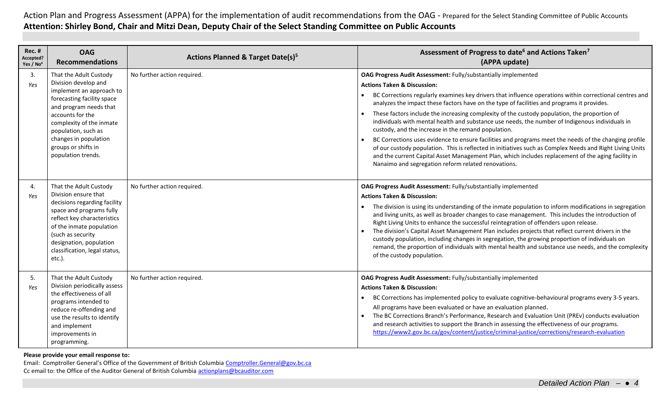| <b>Rec. #</b><br>Accepted?<br>Yes / No <sup>4</sup> | <b>OAG</b><br><b>Recommendations</b>                                                                                                                                                                                                                                            | Actions Planned & Target Date(s) <sup>5</sup> | Assessment of Progress to date <sup>6</sup> and Actions Taken <sup>7</sup><br>(APPA update)                                                                                                                                                                                                                                                                                                                                                                                                                                                                                                                                                                                                                                                                                                                                                                                                                                                                                |
|-----------------------------------------------------|---------------------------------------------------------------------------------------------------------------------------------------------------------------------------------------------------------------------------------------------------------------------------------|-----------------------------------------------|----------------------------------------------------------------------------------------------------------------------------------------------------------------------------------------------------------------------------------------------------------------------------------------------------------------------------------------------------------------------------------------------------------------------------------------------------------------------------------------------------------------------------------------------------------------------------------------------------------------------------------------------------------------------------------------------------------------------------------------------------------------------------------------------------------------------------------------------------------------------------------------------------------------------------------------------------------------------------|
| 3.<br>Yes                                           | That the Adult Custody<br>Division develop and<br>implement an approach to<br>forecasting facility space<br>and program needs that<br>accounts for the<br>complexity of the inmate<br>population, such as<br>changes in population<br>groups or shifts in<br>population trends. | No further action required.                   | OAG Progress Audit Assessment: Fully/substantially implemented<br><b>Actions Taken &amp; Discussion:</b><br>BC Corrections regularly examines key drivers that influence operations within correctional centres and<br>analyzes the impact these factors have on the type of facilities and programs it provides.<br>These factors include the increasing complexity of the custody population, the proportion of<br>individuals with mental health and substance use needs, the number of Indigenous individuals in<br>custody, and the increase in the remand population.<br>BC Corrections uses evidence to ensure facilities and programs meet the needs of the changing profile<br>$\bullet$<br>of our custody population. This is reflected in initiatives such as Complex Needs and Right Living Units<br>and the current Capital Asset Management Plan, which includes replacement of the aging facility in<br>Nanaimo and segregation reform related renovations. |
| 4.<br>Yes                                           | That the Adult Custody<br>Division ensure that<br>decisions regarding facility<br>space and programs fully<br>reflect key characteristics<br>of the inmate population<br>(such as security<br>designation, population<br>classification, legal status,<br>etc.).                | No further action required.                   | OAG Progress Audit Assessment: Fully/substantially implemented<br><b>Actions Taken &amp; Discussion:</b><br>The division is using its understanding of the inmate population to inform modifications in segregation<br>and living units, as well as broader changes to case management. This includes the introduction of<br>Right Living Units to enhance the successful reintegration of offenders upon release.<br>The division's Capital Asset Management Plan includes projects that reflect current drivers in the<br>custody population, including changes in segregation, the growing proportion of individuals on<br>remand, the proportion of individuals with mental health and substance use needs, and the complexity<br>of the custody population.                                                                                                                                                                                                           |
| 5.<br>Yes                                           | That the Adult Custody<br>Division periodically assess<br>the effectiveness of all<br>programs intended to<br>reduce re-offending and<br>use the results to identify<br>and implement<br>improvements in<br>programming.                                                        | No further action required.                   | OAG Progress Audit Assessment: Fully/substantially implemented<br><b>Actions Taken &amp; Discussion:</b><br>BC Corrections has implemented policy to evaluate cognitive-behavioural programs every 3-5 years.<br>$\bullet$<br>All programs have been evaluated or have an evaluation planned.<br>The BC Corrections Branch's Performance, Research and Evaluation Unit (PREv) conducts evaluation<br>and research activities to support the Branch in assessing the effectiveness of our programs.<br>https://www2.gov.bc.ca/gov/content/justice/criminal-justice/corrections/research-evaluation                                                                                                                                                                                                                                                                                                                                                                          |

**Please provide your email response to:**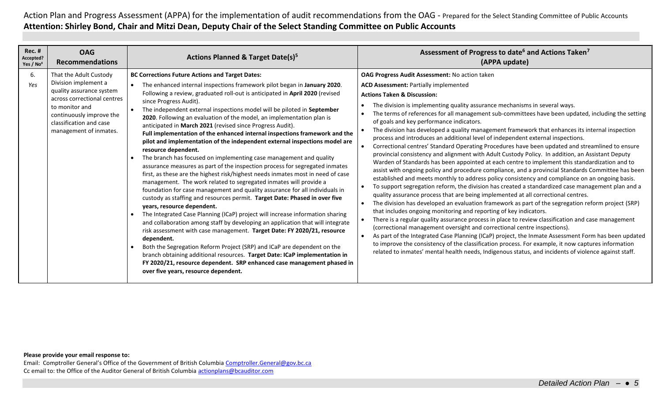| <b>Rec. #</b><br>Accepted?<br>Yes / $No4$ | <b>OAG</b><br><b>Recommendations</b>                                                                                                                                                                         | <b>Actions Planned &amp; Target Date(s)<sup>5</sup></b>                                                                                                                                                                                                                                                                                                                                                                                                                                                                                                                                                                                                                                                                                                                                                                                                                                                                                                                                                                                                                                                                                                                                                                                                                                                                                                                                                                                                                                                                                                                                                                                                                                         | Assessment of Progress to date <sup>6</sup> and Actions Taken <sup>7</sup><br>(APPA update)                                                                                                                                                                                                                                                                                                                                                                                                                                                                                                                                                                                                                                                                                                                                                                                                                                                                                                                                                                                                                                                                                                                                                                                                                                                                                                                                                                                                                                                                                                                                                                                                                                                                                                                                                                                                                                                                  |
|-------------------------------------------|--------------------------------------------------------------------------------------------------------------------------------------------------------------------------------------------------------------|-------------------------------------------------------------------------------------------------------------------------------------------------------------------------------------------------------------------------------------------------------------------------------------------------------------------------------------------------------------------------------------------------------------------------------------------------------------------------------------------------------------------------------------------------------------------------------------------------------------------------------------------------------------------------------------------------------------------------------------------------------------------------------------------------------------------------------------------------------------------------------------------------------------------------------------------------------------------------------------------------------------------------------------------------------------------------------------------------------------------------------------------------------------------------------------------------------------------------------------------------------------------------------------------------------------------------------------------------------------------------------------------------------------------------------------------------------------------------------------------------------------------------------------------------------------------------------------------------------------------------------------------------------------------------------------------------|--------------------------------------------------------------------------------------------------------------------------------------------------------------------------------------------------------------------------------------------------------------------------------------------------------------------------------------------------------------------------------------------------------------------------------------------------------------------------------------------------------------------------------------------------------------------------------------------------------------------------------------------------------------------------------------------------------------------------------------------------------------------------------------------------------------------------------------------------------------------------------------------------------------------------------------------------------------------------------------------------------------------------------------------------------------------------------------------------------------------------------------------------------------------------------------------------------------------------------------------------------------------------------------------------------------------------------------------------------------------------------------------------------------------------------------------------------------------------------------------------------------------------------------------------------------------------------------------------------------------------------------------------------------------------------------------------------------------------------------------------------------------------------------------------------------------------------------------------------------------------------------------------------------------------------------------------------------|
| 6.<br>Yes                                 | That the Adult Custody<br>Division implement a<br>quality assurance system<br>across correctional centres<br>to monitor and<br>continuously improve the<br>classification and case<br>management of inmates. | <b>BC Corrections Future Actions and Target Dates:</b><br>The enhanced internal inspections framework pilot began in January 2020.<br>Following a review, graduated roll-out is anticipated in April 2020 (revised<br>since Progress Audit).<br>The independent external inspections model will be piloted in September<br>2020. Following an evaluation of the model, an implementation plan is<br>anticipated in March 2021 (revised since Progress Audit).<br>Full implementation of the enhanced internal inspections framework and the<br>pilot and implementation of the independent external inspections model are<br>resource dependent.<br>The branch has focused on implementing case management and quality<br>assurance measures as part of the inspection process for segregated inmates<br>first, as these are the highest risk/highest needs inmates most in need of case<br>management. The work related to segregated inmates will provide a<br>foundation for case management and quality assurance for all individuals in<br>custody as staffing and resources permit. Target Date: Phased in over five<br>years, resource dependent.<br>The Integrated Case Planning (ICaP) project will increase information sharing<br>and collaboration among staff by developing an application that will integrate<br>risk assessment with case management. Target Date: FY 2020/21, resource<br>dependent.<br>Both the Segregation Reform Project (SRP) and ICaP are dependent on the<br>branch obtaining additional resources. Target Date: ICaP implementation in<br>FY 2020/21, resource dependent. SRP enhanced case management phased in<br>over five years, resource dependent. | OAG Progress Audit Assessment: No action taken<br><b>ACD Assessment: Partially implemented</b><br><b>Actions Taken &amp; Discussion:</b><br>The division is implementing quality assurance mechanisms in several ways.<br>The terms of references for all management sub-committees have been updated, including the setting<br>of goals and key performance indicators.<br>The division has developed a quality management framework that enhances its internal inspection<br>process and introduces an additional level of independent external inspections.<br>Correctional centres' Standard Operating Procedures have been updated and streamlined to ensure<br>provincial consistency and alignment with Adult Custody Policy. In addition, an Assistant Deputy<br>Warden of Standards has been appointed at each centre to implement this standardization and to<br>assist with ongoing policy and procedure compliance, and a provincial Standards Committee has been<br>established and meets monthly to address policy consistency and compliance on an ongoing basis.<br>To support segregation reform, the division has created a standardized case management plan and a<br>quality assurance process that are being implemented at all correctional centres.<br>The division has developed an evaluation framework as part of the segregation reform project (SRP)<br>that includes ongoing monitoring and reporting of key indicators.<br>There is a regular quality assurance process in place to review classification and case management<br>(correctional management oversight and correctional centre inspections).<br>As part of the Integrated Case Planning (ICaP) project, the Inmate Assessment Form has been updated<br>to improve the consistency of the classification process. For example, it now captures information<br>related to inmates' mental health needs, Indigenous status, and incidents of violence against staff. |

### **Please provide your email response to:**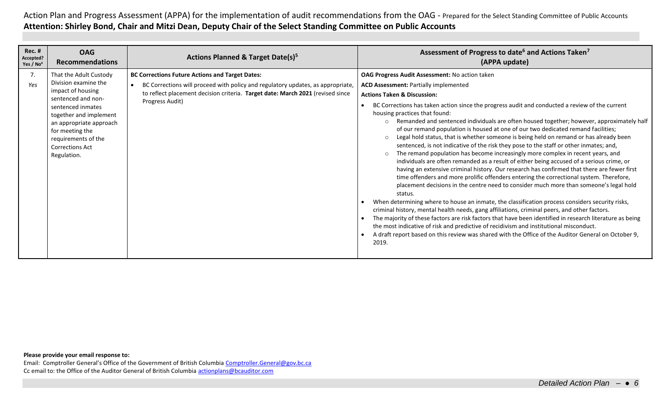| <b>Rec. #</b><br><b>OAG</b><br><b>Actions Planned &amp; Target Date(s)</b> <sup>5</sup><br>Accepted?<br><b>Recommendations</b><br>Yes / No <sup>4</sup>                                                                                                                                                                                                                                                                                                                                                               | Assessment of Progress to date <sup>6</sup> and Actions Taken <sup>7</sup><br>(APPA update)                                                                                                                                                                                                                                                                                                                                                                                                                                                                                                                                                                                                                                                                                                                                                                                                                                                                                                                                                                                                                                                                                                                                                                                                                                                                                                                                                                                                                                                                                                                                                                                                |
|-----------------------------------------------------------------------------------------------------------------------------------------------------------------------------------------------------------------------------------------------------------------------------------------------------------------------------------------------------------------------------------------------------------------------------------------------------------------------------------------------------------------------|--------------------------------------------------------------------------------------------------------------------------------------------------------------------------------------------------------------------------------------------------------------------------------------------------------------------------------------------------------------------------------------------------------------------------------------------------------------------------------------------------------------------------------------------------------------------------------------------------------------------------------------------------------------------------------------------------------------------------------------------------------------------------------------------------------------------------------------------------------------------------------------------------------------------------------------------------------------------------------------------------------------------------------------------------------------------------------------------------------------------------------------------------------------------------------------------------------------------------------------------------------------------------------------------------------------------------------------------------------------------------------------------------------------------------------------------------------------------------------------------------------------------------------------------------------------------------------------------------------------------------------------------------------------------------------------------|
| 7.<br><b>BC Corrections Future Actions and Target Dates:</b><br>That the Adult Custody<br>Division examine the<br>Yes<br>BC Corrections will proceed with policy and regulatory updates, as appropriate,<br>impact of housing<br>to reflect placement decision criteria. Target date: March 2021 (revised since<br>sentenced and non-<br>Progress Audit)<br>sentenced inmates<br>together and implement<br>an appropriate approach<br>for meeting the<br>requirements of the<br><b>Corrections Act</b><br>Regulation. | OAG Progress Audit Assessment: No action taken<br><b>ACD Assessment: Partially implemented</b><br><b>Actions Taken &amp; Discussion:</b><br>BC Corrections has taken action since the progress audit and conducted a review of the current<br>housing practices that found:<br>Remanded and sentenced individuals are often housed together; however, approximately half<br>$\circ$<br>of our remand population is housed at one of our two dedicated remand facilities;<br>Legal hold status, that is whether someone is being held on remand or has already been<br>$\circ$<br>sentenced, is not indicative of the risk they pose to the staff or other inmates; and,<br>The remand population has become increasingly more complex in recent years, and<br>$\circ$<br>individuals are often remanded as a result of either being accused of a serious crime, or<br>having an extensive criminal history. Our research has confirmed that there are fewer first<br>time offenders and more prolific offenders entering the correctional system. Therefore,<br>placement decisions in the centre need to consider much more than someone's legal hold<br>status.<br>When determining where to house an inmate, the classification process considers security risks,<br>criminal history, mental health needs, gang affiliations, criminal peers, and other factors.<br>The majority of these factors are risk factors that have been identified in research literature as being<br>the most indicative of risk and predictive of recidivism and institutional misconduct.<br>A draft report based on this review was shared with the Office of the Auditor General on October 9,<br>2019. |

### **Please provide your email response to:**